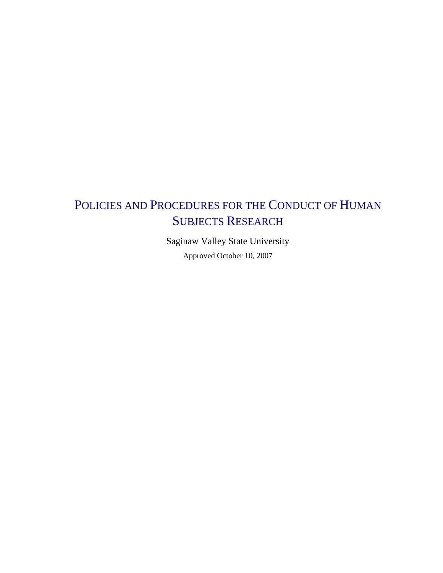# POLICIES AND PROCEDURES FOR THE CONDUCT OF HUMAN SUBJECTS RESEARCH

Saginaw Valley State University Approved October 10, 2007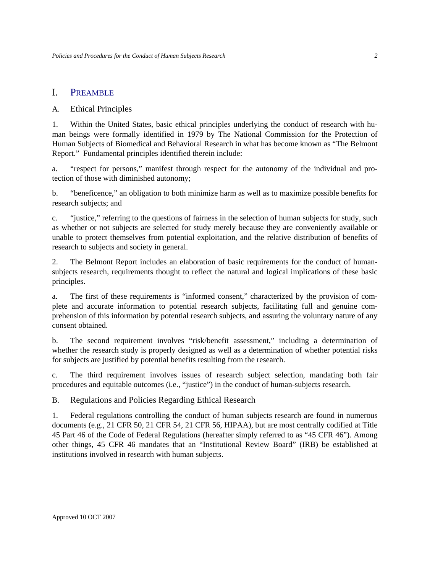# I. PREAMBLE

## A. Ethical Principles

1. Within the United States, basic ethical principles underlying the conduct of research with human beings were formally identified in 1979 by The National Commission for the Protection of Human Subjects of Biomedical and Behavioral Research in what has become known as "The Belmont Report." Fundamental principles identified therein include:

a. "respect for persons," manifest through respect for the autonomy of the individual and protection of those with diminished autonomy;

b. "beneficence," an obligation to both minimize harm as well as to maximize possible benefits for research subjects; and

c. "justice," referring to the questions of fairness in the selection of human subjects for study, such as whether or not subjects are selected for study merely because they are conveniently available or unable to protect themselves from potential exploitation, and the relative distribution of benefits of research to subjects and society in general.

2. The Belmont Report includes an elaboration of basic requirements for the conduct of humansubjects research, requirements thought to reflect the natural and logical implications of these basic principles.

a. The first of these requirements is "informed consent," characterized by the provision of complete and accurate information to potential research subjects, facilitating full and genuine comprehension of this information by potential research subjects, and assuring the voluntary nature of any consent obtained.

b. The second requirement involves "risk/benefit assessment," including a determination of whether the research study is properly designed as well as a determination of whether potential risks for subjects are justified by potential benefits resulting from the research.

c. The third requirement involves issues of research subject selection, mandating both fair procedures and equitable outcomes (i.e., "justice") in the conduct of human-subjects research.

B. Regulations and Policies Regarding Ethical Research

1. Federal regulations controlling the conduct of human subjects research are found in numerous documents (e.g., 21 CFR 50, 21 CFR 54, 21 CFR 56, HIPAA), but are most centrally codified at Title 45 Part 46 of the Code of Federal Regulations (hereafter simply referred to as "45 CFR 46"). Among other things, 45 CFR 46 mandates that an "Institutional Review Board" (IRB) be established at institutions involved in research with human subjects.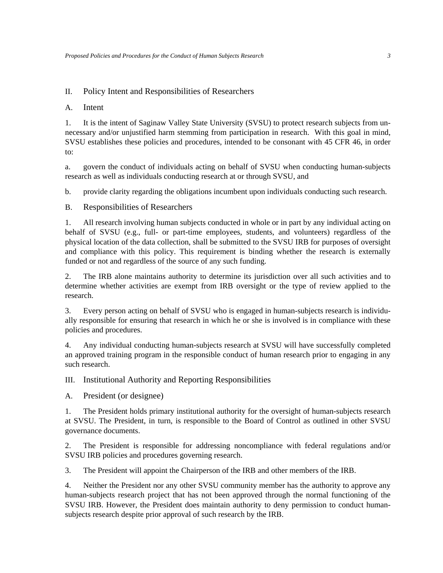### II. Policy Intent and Responsibilities of Researchers

## A. Intent

1. It is the intent of Saginaw Valley State University (SVSU) to protect research subjects from unnecessary and/or unjustified harm stemming from participation in research. With this goal in mind, SVSU establishes these policies and procedures, intended to be consonant with 45 CFR 46, in order to:

a. govern the conduct of individuals acting on behalf of SVSU when conducting human-subjects research as well as individuals conducting research at or through SVSU, and

b. provide clarity regarding the obligations incumbent upon individuals conducting such research.

B. Responsibilities of Researchers

1. All research involving human subjects conducted in whole or in part by any individual acting on behalf of SVSU (e.g., full- or part-time employees, students, and volunteers) regardless of the physical location of the data collection, shall be submitted to the SVSU IRB for purposes of oversight and compliance with this policy. This requirement is binding whether the research is externally funded or not and regardless of the source of any such funding.

2. The IRB alone maintains authority to determine its jurisdiction over all such activities and to determine whether activities are exempt from IRB oversight or the type of review applied to the research.

3. Every person acting on behalf of SVSU who is engaged in human-subjects research is individually responsible for ensuring that research in which he or she is involved is in compliance with these policies and procedures.

4. Any individual conducting human-subjects research at SVSU will have successfully completed an approved training program in the responsible conduct of human research prior to engaging in any such research.

III. Institutional Authority and Reporting Responsibilities

A. President (or designee)

1. The President holds primary institutional authority for the oversight of human-subjects research at SVSU. The President, in turn, is responsible to the Board of Control as outlined in other SVSU governance documents.

2. The President is responsible for addressing noncompliance with federal regulations and/or SVSU IRB policies and procedures governing research.

3. The President will appoint the Chairperson of the IRB and other members of the IRB.

4. Neither the President nor any other SVSU community member has the authority to approve any human-subjects research project that has not been approved through the normal functioning of the SVSU IRB. However, the President does maintain authority to deny permission to conduct humansubjects research despite prior approval of such research by the IRB.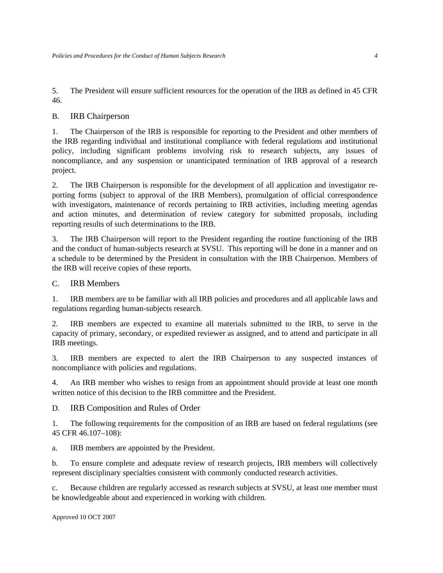5. The President will ensure sufficient resources for the operation of the IRB as defined in 45 CFR 46.

## B. IRB Chairperson

1. The Chairperson of the IRB is responsible for reporting to the President and other members of the IRB regarding individual and institutional compliance with federal regulations and institutional policy, including significant problems involving risk to research subjects, any issues of noncompliance, and any suspension or unanticipated termination of IRB approval of a research project.

2. The IRB Chairperson is responsible for the development of all application and investigator reporting forms (subject to approval of the IRB Members), promulgation of official correspondence with investigators, maintenance of records pertaining to IRB activities, including meeting agendas and action minutes, and determination of review category for submitted proposals, including reporting results of such determinations to the IRB.

3. The IRB Chairperson will report to the President regarding the routine functioning of the IRB and the conduct of human-subjects research at SVSU. This reporting will be done in a manner and on a schedule to be determined by the President in consultation with the IRB Chairperson. Members of the IRB will receive copies of these reports.

## C. IRB Members

1. IRB members are to be familiar with all IRB policies and procedures and all applicable laws and regulations regarding human-subjects research.

2. IRB members are expected to examine all materials submitted to the IRB, to serve in the capacity of primary, secondary, or expedited reviewer as assigned, and to attend and participate in all IRB meetings.

3. IRB members are expected to alert the IRB Chairperson to any suspected instances of noncompliance with policies and regulations.

4. An IRB member who wishes to resign from an appointment should provide at least one month written notice of this decision to the IRB committee and the President.

D. IRB Composition and Rules of Order

1. The following requirements for the composition of an IRB are based on federal regulations (see 45 CFR 46.107–108):

a. IRB members are appointed by the President.

b. To ensure complete and adequate review of research projects, IRB members will collectively represent disciplinary specialties consistent with commonly conducted research activities.

c. Because children are regularly accessed as research subjects at SVSU, at least one member must be knowledgeable about and experienced in working with children.

Approved 10 OCT 2007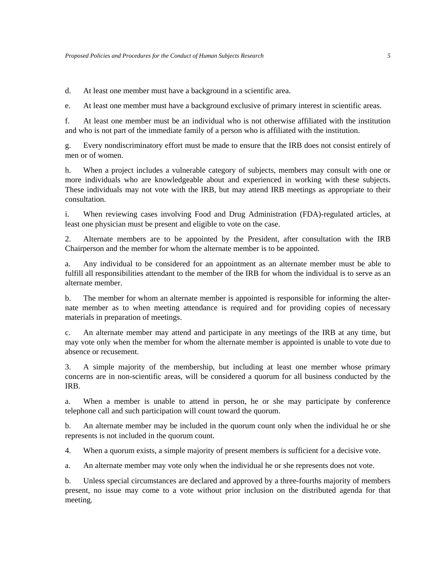d. At least one member must have a background in a scientific area.

e. At least one member must have a background exclusive of primary interest in scientific areas.

f. At least one member must be an individual who is not otherwise affiliated with the institution and who is not part of the immediate family of a person who is affiliated with the institution.

g. Every nondiscriminatory effort must be made to ensure that the IRB does not consist entirely of men or of women.

h. When a project includes a vulnerable category of subjects, members may consult with one or more individuals who are knowledgeable about and experienced in working with these subjects. These individuals may not vote with the IRB, but may attend IRB meetings as appropriate to their consultation.

i. When reviewing cases involving Food and Drug Administration (FDA)-regulated articles, at least one physician must be present and eligible to vote on the case.

2. Alternate members are to be appointed by the President, after consultation with the IRB Chairperson and the member for whom the alternate member is to be appointed.

a. Any individual to be considered for an appointment as an alternate member must be able to fulfill all responsibilities attendant to the member of the IRB for whom the individual is to serve as an alternate member.

b. The member for whom an alternate member is appointed is responsible for informing the alternate member as to when meeting attendance is required and for providing copies of necessary materials in preparation of meetings.

c. An alternate member may attend and participate in any meetings of the IRB at any time, but may vote only when the member for whom the alternate member is appointed is unable to vote due to absence or recusement.

3. A simple majority of the membership, but including at least one member whose primary concerns are in non-scientific areas, will be considered a quorum for all business conducted by the IRB.

a. When a member is unable to attend in person, he or she may participate by conference telephone call and such participation will count toward the quorum.

b. An alternate member may be included in the quorum count only when the individual he or she represents is not included in the quorum count.

4. When a quorum exists, a simple majority of present members is sufficient for a decisive vote.

a. An alternate member may vote only when the individual he or she represents does not vote.

b. Unless special circumstances are declared and approved by a three-fourths majority of members present, no issue may come to a vote without prior inclusion on the distributed agenda for that meeting.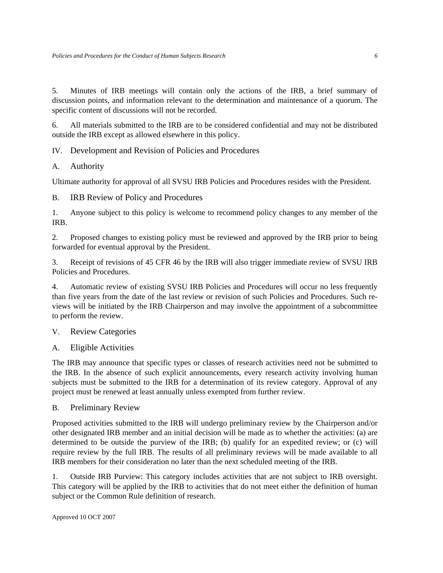5. Minutes of IRB meetings will contain only the actions of the IRB, a brief summary of discussion points, and information relevant to the determination and maintenance of a quorum. The specific content of discussions will not be recorded.

6. All materials submitted to the IRB are to be considered confidential and may not be distributed outside the IRB except as allowed elsewhere in this policy.

IV. Development and Revision of Policies and Procedures

# A. Authority

Ultimate authority for approval of all SVSU IRB Policies and Procedures resides with the President.

B. IRB Review of Policy and Procedures

1. Anyone subject to this policy is welcome to recommend policy changes to any member of the IRB.

2. Proposed changes to existing policy must be reviewed and approved by the IRB prior to being forwarded for eventual approval by the President.

3. Receipt of revisions of 45 CFR 46 by the IRB will also trigger immediate review of SVSU IRB Policies and Procedures.

4. Automatic review of existing SVSU IRB Policies and Procedures will occur no less frequently than five years from the date of the last review or revision of such Policies and Procedures. Such reviews will be initiated by the IRB Chairperson and may involve the appointment of a subcommittee to perform the review.

# V. Review Categories

A. Eligible Activities

The IRB may announce that specific types or classes of research activities need not be submitted to the IRB. In the absence of such explicit announcements, every research activity involving human subjects must be submitted to the IRB for a determination of its review category. Approval of any project must be renewed at least annually unless exempted from further review.

# B. Preliminary Review

Proposed activities submitted to the IRB will undergo preliminary review by the Chairperson and/or other designated IRB member and an initial decision will be made as to whether the activities: (a) are determined to be outside the purview of the IRB; (b) qualify for an expedited review; or (c) will require review by the full IRB. The results of all preliminary reviews will be made available to all IRB members for their consideration no later than the next scheduled meeting of the IRB.

1. Outside IRB Purview: This category includes activities that are not subject to IRB oversight. This category will be applied by the IRB to activities that do not meet either the definition of human subject or the Common Rule definition of research.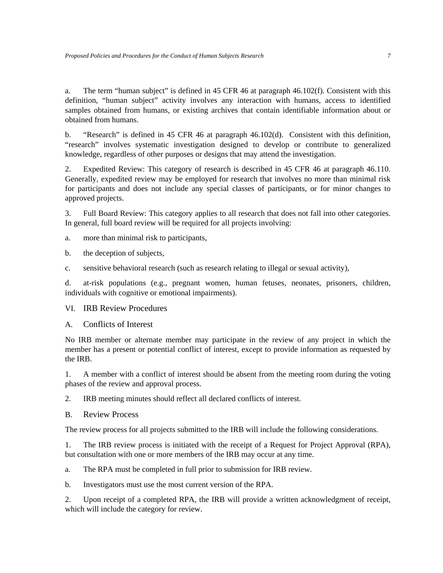a. The term "human subject" is defined in 45 CFR 46 at paragraph 46.102(f). Consistent with this definition, "human subject" activity involves any interaction with humans, access to identified samples obtained from humans, or existing archives that contain identifiable information about or obtained from humans.

b. "Research" is defined in 45 CFR 46 at paragraph 46.102(d). Consistent with this definition, "research" involves systematic investigation designed to develop or contribute to generalized knowledge, regardless of other purposes or designs that may attend the investigation.

2. Expedited Review: This category of research is described in 45 CFR 46 at paragraph 46.110. Generally, expedited review may be employed for research that involves no more than minimal risk for participants and does not include any special classes of participants, or for minor changes to approved projects.

3. Full Board Review: This category applies to all research that does not fall into other categories. In general, full board review will be required for all projects involving:

a. more than minimal risk to participants,

- b. the deception of subjects,
- c. sensitive behavioral research (such as research relating to illegal or sexual activity),

d. at-risk populations (e.g., pregnant women, human fetuses, neonates, prisoners, children, individuals with cognitive or emotional impairments).

## VI. IRB Review Procedures

A. Conflicts of Interest

No IRB member or alternate member may participate in the review of any project in which the member has a present or potential conflict of interest, except to provide information as requested by the IRB.

1. A member with a conflict of interest should be absent from the meeting room during the voting phases of the review and approval process.

2. IRB meeting minutes should reflect all declared conflicts of interest.

B. Review Process

The review process for all projects submitted to the IRB will include the following considerations.

1. The IRB review process is initiated with the receipt of a Request for Project Approval (RPA), but consultation with one or more members of the IRB may occur at any time.

a. The RPA must be completed in full prior to submission for IRB review.

b. Investigators must use the most current version of the RPA.

2. Upon receipt of a completed RPA, the IRB will provide a written acknowledgment of receipt, which will include the category for review.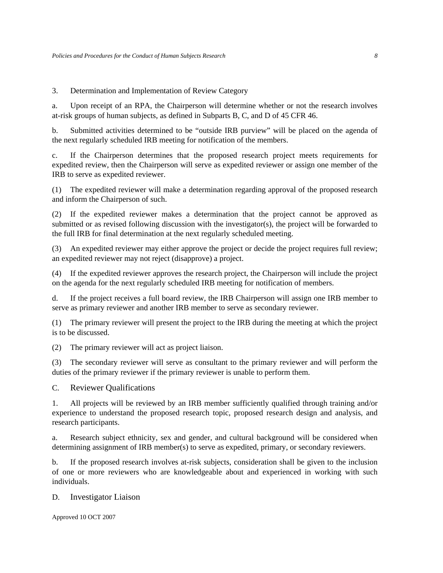3. Determination and Implementation of Review Category

a. Upon receipt of an RPA, the Chairperson will determine whether or not the research involves at-risk groups of human subjects, as defined in Subparts B, C, and D of 45 CFR 46.

b. Submitted activities determined to be "outside IRB purview" will be placed on the agenda of the next regularly scheduled IRB meeting for notification of the members.

c. If the Chairperson determines that the proposed research project meets requirements for expedited review, then the Chairperson will serve as expedited reviewer or assign one member of the IRB to serve as expedited reviewer.

(1) The expedited reviewer will make a determination regarding approval of the proposed research and inform the Chairperson of such.

(2) If the expedited reviewer makes a determination that the project cannot be approved as submitted or as revised following discussion with the investigator(s), the project will be forwarded to the full IRB for final determination at the next regularly scheduled meeting.

(3) An expedited reviewer may either approve the project or decide the project requires full review; an expedited reviewer may not reject (disapprove) a project.

(4) If the expedited reviewer approves the research project, the Chairperson will include the project on the agenda for the next regularly scheduled IRB meeting for notification of members.

d. If the project receives a full board review, the IRB Chairperson will assign one IRB member to serve as primary reviewer and another IRB member to serve as secondary reviewer.

(1) The primary reviewer will present the project to the IRB during the meeting at which the project is to be discussed.

(2) The primary reviewer will act as project liaison.

(3) The secondary reviewer will serve as consultant to the primary reviewer and will perform the duties of the primary reviewer if the primary reviewer is unable to perform them.

C. Reviewer Qualifications

1. All projects will be reviewed by an IRB member sufficiently qualified through training and/or experience to understand the proposed research topic, proposed research design and analysis, and research participants.

a. Research subject ethnicity, sex and gender, and cultural background will be considered when determining assignment of IRB member(s) to serve as expedited, primary, or secondary reviewers.

b. If the proposed research involves at-risk subjects, consideration shall be given to the inclusion of one or more reviewers who are knowledgeable about and experienced in working with such individuals.

#### D. Investigator Liaison

Approved 10 OCT 2007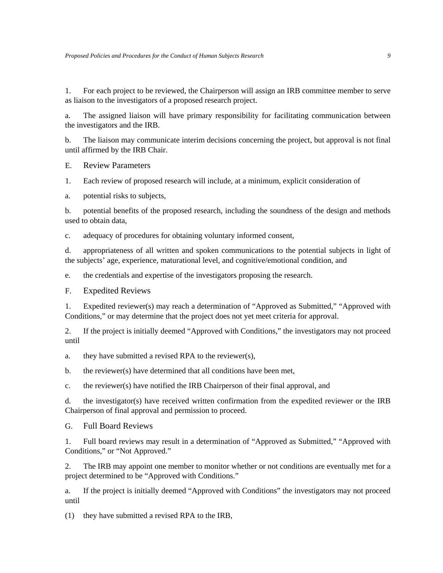1. For each project to be reviewed, the Chairperson will assign an IRB committee member to serve as liaison to the investigators of a proposed research project.

a. The assigned liaison will have primary responsibility for facilitating communication between the investigators and the IRB.

b. The liaison may communicate interim decisions concerning the project, but approval is not final until affirmed by the IRB Chair.

E. Review Parameters

1. Each review of proposed research will include, at a minimum, explicit consideration of

a. potential risks to subjects,

b. potential benefits of the proposed research, including the soundness of the design and methods used to obtain data,

c. adequacy of procedures for obtaining voluntary informed consent,

d. appropriateness of all written and spoken communications to the potential subjects in light of the subjects' age, experience, maturational level, and cognitive/emotional condition, and

e. the credentials and expertise of the investigators proposing the research.

F. Expedited Reviews

1. Expedited reviewer(s) may reach a determination of "Approved as Submitted," "Approved with Conditions," or may determine that the project does not yet meet criteria for approval.

2. If the project is initially deemed "Approved with Conditions," the investigators may not proceed until

a. they have submitted a revised RPA to the reviewer(s),

b. the reviewer(s) have determined that all conditions have been met,

c. the reviewer(s) have notified the IRB Chairperson of their final approval, and

d. the investigator(s) have received written confirmation from the expedited reviewer or the IRB Chairperson of final approval and permission to proceed.

G. Full Board Reviews

1. Full board reviews may result in a determination of "Approved as Submitted," "Approved with Conditions," or "Not Approved."

2. The IRB may appoint one member to monitor whether or not conditions are eventually met for a project determined to be "Approved with Conditions."

a. If the project is initially deemed "Approved with Conditions" the investigators may not proceed until

(1) they have submitted a revised RPA to the IRB,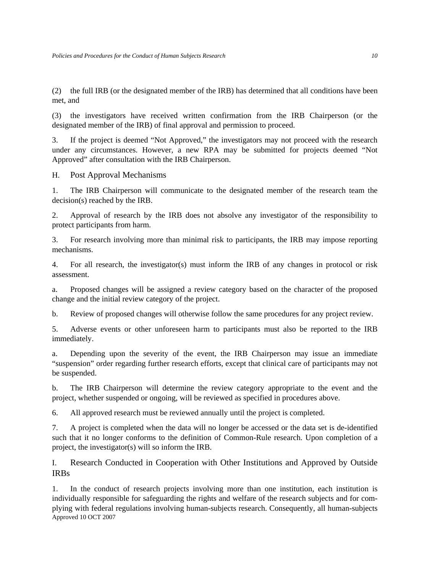(2) the full IRB (or the designated member of the IRB) has determined that all conditions have been met, and

(3) the investigators have received written confirmation from the IRB Chairperson (or the designated member of the IRB) of final approval and permission to proceed.

3. If the project is deemed "Not Approved," the investigators may not proceed with the research under any circumstances. However, a new RPA may be submitted for projects deemed "Not Approved" after consultation with the IRB Chairperson.

H. Post Approval Mechanisms

1. The IRB Chairperson will communicate to the designated member of the research team the decision(s) reached by the IRB.

2. Approval of research by the IRB does not absolve any investigator of the responsibility to protect participants from harm.

3. For research involving more than minimal risk to participants, the IRB may impose reporting mechanisms.

4. For all research, the investigator(s) must inform the IRB of any changes in protocol or risk assessment.

a. Proposed changes will be assigned a review category based on the character of the proposed change and the initial review category of the project.

b. Review of proposed changes will otherwise follow the same procedures for any project review.

5. Adverse events or other unforeseen harm to participants must also be reported to the IRB immediately.

a. Depending upon the severity of the event, the IRB Chairperson may issue an immediate "suspension" order regarding further research efforts, except that clinical care of participants may not be suspended.

b. The IRB Chairperson will determine the review category appropriate to the event and the project, whether suspended or ongoing, will be reviewed as specified in procedures above.

6. All approved research must be reviewed annually until the project is completed.

7. A project is completed when the data will no longer be accessed or the data set is de-identified such that it no longer conforms to the definition of Common-Rule research. Upon completion of a project, the investigator(s) will so inform the IRB.

I. Research Conducted in Cooperation with Other Institutions and Approved by Outside IRBs

Approved 10 OCT 2007 1. In the conduct of research projects involving more than one institution, each institution is individually responsible for safeguarding the rights and welfare of the research subjects and for complying with federal regulations involving human-subjects research. Consequently, all human-subjects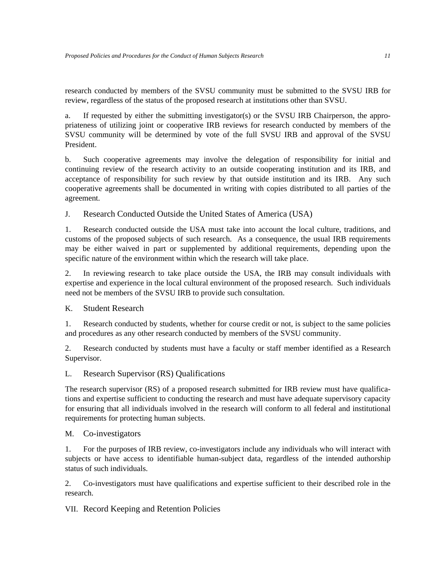research conducted by members of the SVSU community must be submitted to the SVSU IRB for review, regardless of the status of the proposed research at institutions other than SVSU.

a. If requested by either the submitting investigator(s) or the SVSU IRB Chairperson, the appropriateness of utilizing joint or cooperative IRB reviews for research conducted by members of the SVSU community will be determined by vote of the full SVSU IRB and approval of the SVSU President.

b. Such cooperative agreements may involve the delegation of responsibility for initial and continuing review of the research activity to an outside cooperating institution and its IRB, and acceptance of responsibility for such review by that outside institution and its IRB. Any such cooperative agreements shall be documented in writing with copies distributed to all parties of the agreement.

J. Research Conducted Outside the United States of America (USA)

1. Research conducted outside the USA must take into account the local culture, traditions, and customs of the proposed subjects of such research. As a consequence, the usual IRB requirements may be either waived in part or supplemented by additional requirements, depending upon the specific nature of the environment within which the research will take place.

2. In reviewing research to take place outside the USA, the IRB may consult individuals with expertise and experience in the local cultural environment of the proposed research. Such individuals need not be members of the SVSU IRB to provide such consultation.

K. Student Research

1. Research conducted by students, whether for course credit or not, is subject to the same policies and procedures as any other research conducted by members of the SVSU community.

2. Research conducted by students must have a faculty or staff member identified as a Research Supervisor.

L. Research Supervisor (RS) Qualifications

The research supervisor (RS) of a proposed research submitted for IRB review must have qualifications and expertise sufficient to conducting the research and must have adequate supervisory capacity for ensuring that all individuals involved in the research will conform to all federal and institutional requirements for protecting human subjects.

# M. Co-investigators

1. For the purposes of IRB review, co-investigators include any individuals who will interact with subjects or have access to identifiable human-subject data, regardless of the intended authorship status of such individuals.

2. Co-investigators must have qualifications and expertise sufficient to their described role in the research.

VII. Record Keeping and Retention Policies